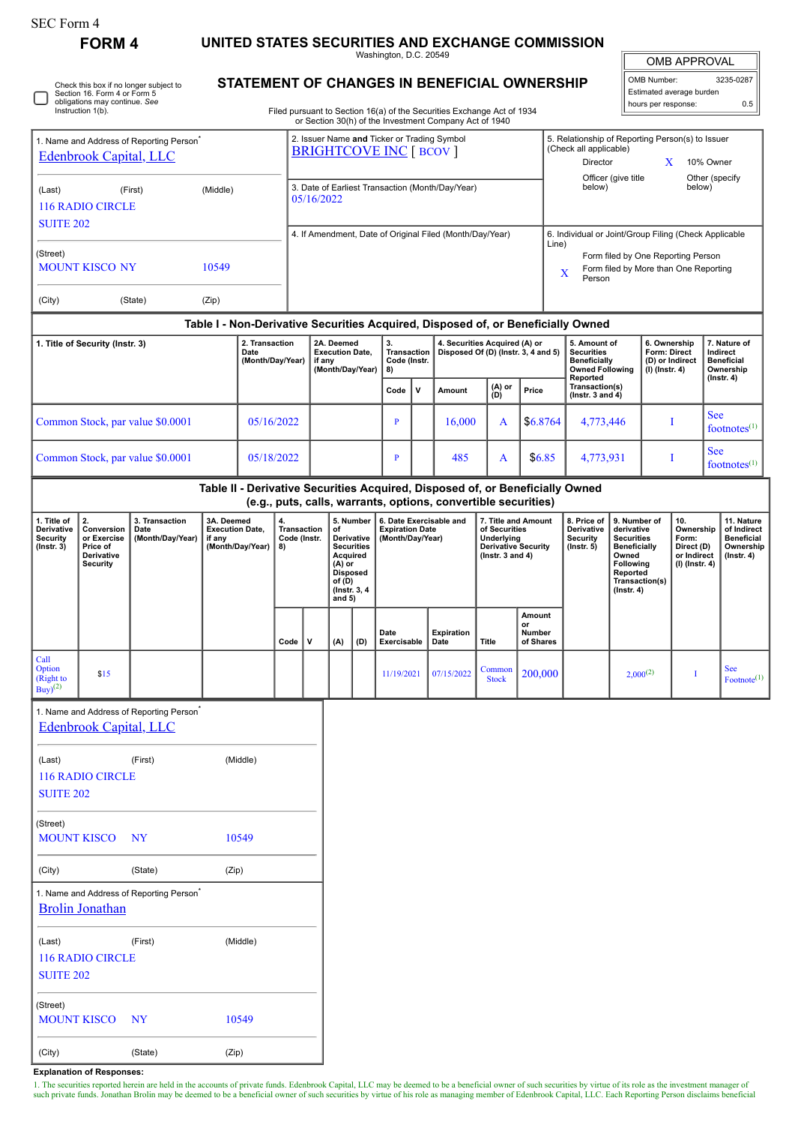## **FORM 4 UNITED STATES SECURITIES AND EXCHANGE COMMISSION**

Washington, D.C. 20549

OMB APPROVAL

| OMB Number:              | 3235-0287 |  |  |  |  |  |  |  |
|--------------------------|-----------|--|--|--|--|--|--|--|
| Estimated average burden |           |  |  |  |  |  |  |  |
| hours per response:      | 0.5       |  |  |  |  |  |  |  |

Check this box if no longer subject to Section 16. Form 4 or Form 5 obligations may continue. *See* Instruction 1(b). L

## **STATEMENT OF CHANGES IN BENEFICIAL OWNERSHIP**

Filed pursuant to Section 16(a) of the Securities Exchange Act of 1934 or Section 30(h) of the Investment Company Act of 1940

| 1. Name and Address of Reporting Person<br>Edenbrook Capital, LLC                                                                                |                                  |                                                                    |       |                                            |          | 2. Issuer Name and Ticker or Trading Symbol<br><b>BRIGHTCOVE INC [ BCOV ]</b> |            |                                                                                                                                   |                     |                                                                                    |                                                                |                                                                                                          |                                                                                            | 5. Relationship of Reporting Person(s) to Issuer<br>(Check all applicable)<br>Director<br>10% Owner<br>X<br>Officer (give title<br>Other (specify<br>below)<br>below) |                                                                                                                                                |               |                                                                          |                                                                                 |  |
|--------------------------------------------------------------------------------------------------------------------------------------------------|----------------------------------|--------------------------------------------------------------------|-------|--------------------------------------------|----------|-------------------------------------------------------------------------------|------------|-----------------------------------------------------------------------------------------------------------------------------------|---------------------|------------------------------------------------------------------------------------|----------------------------------------------------------------|----------------------------------------------------------------------------------------------------------|--------------------------------------------------------------------------------------------|-----------------------------------------------------------------------------------------------------------------------------------------------------------------------|------------------------------------------------------------------------------------------------------------------------------------------------|---------------|--------------------------------------------------------------------------|---------------------------------------------------------------------------------|--|
| (First)<br>(Middle)<br>(Last)<br><b>116 RADIO CIRCLE</b>                                                                                         |                                  |                                                                    |       |                                            |          | 3. Date of Earliest Transaction (Month/Day/Year)<br>05/16/2022                |            |                                                                                                                                   |                     |                                                                                    |                                                                |                                                                                                          |                                                                                            |                                                                                                                                                                       |                                                                                                                                                |               |                                                                          |                                                                                 |  |
| <b>SUITE 202</b>                                                                                                                                 |                                  |                                                                    |       |                                            |          | 4. If Amendment, Date of Original Filed (Month/Day/Year)                      |            |                                                                                                                                   |                     |                                                                                    |                                                                |                                                                                                          | 6. Individual or Joint/Group Filing (Check Applicable<br>Line)                             |                                                                                                                                                                       |                                                                                                                                                |               |                                                                          |                                                                                 |  |
| (Street)<br><b>MOUNT KISCO NY</b><br>10549                                                                                                       |                                  |                                                                    |       |                                            |          |                                                                               |            |                                                                                                                                   |                     |                                                                                    |                                                                |                                                                                                          | Form filed by One Reporting Person<br>Form filed by More than One Reporting<br>X<br>Person |                                                                                                                                                                       |                                                                                                                                                |               |                                                                          |                                                                                 |  |
| (City)                                                                                                                                           |                                  | (State)                                                            | (Zip) |                                            |          |                                                                               |            |                                                                                                                                   |                     |                                                                                    |                                                                |                                                                                                          |                                                                                            |                                                                                                                                                                       |                                                                                                                                                |               |                                                                          |                                                                                 |  |
|                                                                                                                                                  |                                  |                                                                    |       |                                            |          |                                                                               |            |                                                                                                                                   |                     |                                                                                    |                                                                |                                                                                                          |                                                                                            | Table I - Non-Derivative Securities Acquired, Disposed of, or Beneficially Owned                                                                                      |                                                                                                                                                |               |                                                                          |                                                                                 |  |
| 1. Title of Security (Instr. 3)<br>Date                                                                                                          |                                  |                                                                    |       | 2. Transaction<br>(Month/Day/Year)         |          | 2A. Deemed<br><b>Execution Date,</b><br>if any<br>(Month/Day/Year)            |            | 3.<br>Code (Instr.<br>8)                                                                                                          |                     | 4. Securities Acquired (A) or<br>Transaction   Disposed Of (D) (Instr. 3, 4 and 5) |                                                                |                                                                                                          | 5. Amount of<br><b>Securities</b><br><b>Beneficially</b><br><b>Owned Following</b>         |                                                                                                                                                                       | 6. Ownership<br>Form: Direct<br>(D) or Indirect<br>(I) (Instr. 4)                                                                              |               | 7. Nature of<br>Indirect<br><b>Beneficial</b><br>Ownership               |                                                                                 |  |
|                                                                                                                                                  |                                  |                                                                    |       |                                            |          |                                                                               |            |                                                                                                                                   | Code                | $\mathbf v$                                                                        | Amount                                                         | (A) or<br>(D)                                                                                            | Price                                                                                      | Reported<br>Transaction(s)<br>( $lnstr. 3 and 4$ )                                                                                                                    |                                                                                                                                                |               |                                                                          | $($ Instr. 4 $)$                                                                |  |
|                                                                                                                                                  | Common Stock, par value \$0.0001 |                                                                    |       | 05/16/2022                                 |          |                                                                               |            |                                                                                                                                   |                     |                                                                                    | 16,000                                                         | A                                                                                                        | \$6.8764                                                                                   | 4,773,446                                                                                                                                                             |                                                                                                                                                |               | Ι                                                                        | <b>See</b><br>footnotes $(1)$                                                   |  |
| Common Stock, par value \$0.0001<br>05/18/2022                                                                                                   |                                  |                                                                    |       |                                            |          |                                                                               |            | $\mathbf{P}$                                                                                                                      |                     | 485                                                                                | A                                                              | \$6.85                                                                                                   | 4,773,931                                                                                  |                                                                                                                                                                       |                                                                                                                                                | Ι.            | <b>See</b><br>footnotes $(1)$                                            |                                                                                 |  |
|                                                                                                                                                  |                                  |                                                                    |       |                                            |          |                                                                               |            |                                                                                                                                   |                     |                                                                                    | (e.g., puts, calls, warrants, options, convertible securities) |                                                                                                          |                                                                                            | Table II - Derivative Securities Acquired, Disposed of, or Beneficially Owned                                                                                         |                                                                                                                                                |               |                                                                          |                                                                                 |  |
| 2.<br>1. Title of<br>Derivative<br>Conversion<br><b>Security</b><br>or Exercise<br>$($ Instr. 3 $)$<br>Price of<br>Derivative<br><b>Security</b> |                                  | 3A. Deemed<br>3. Transaction<br>Date<br>(Month/Day/Year)<br>if any |       | <b>Execution Date,</b><br>(Month/Day/Year) | 4.<br>8) | Transaction<br>Code (Instr.                                                   |            | 5. Number<br>of<br>Derivative<br><b>Securities</b><br>Acquired<br>(A) or<br><b>Disposed</b><br>of (D)<br>(Instr. 3, 4<br>and $5)$ |                     | 6. Date Exercisable and<br><b>Expiration Date</b><br>(Month/Day/Year)              |                                                                | 7. Title and Amount<br>of Securities<br>Underlying<br><b>Derivative Security</b><br>( $lnstr. 3 and 4$ ) |                                                                                            | 8. Price of<br>Derivative<br><b>Security</b><br>$($ Instr. $5)$                                                                                                       | 9. Number of<br>derivative<br><b>Securities</b><br><b>Beneficially</b><br>Owned<br>Following<br>Reported<br>Transaction(s)<br>$($ Instr. 4 $)$ |               | 10.<br>Ownership<br>Form:<br>Direct (D)<br>or Indirect<br>(I) (Instr. 4) | 11. Nature<br>of Indirect<br><b>Beneficial</b><br>Ownership<br>$($ Instr. 4 $)$ |  |
|                                                                                                                                                  |                                  |                                                                    |       | Code                                       |          | v                                                                             | (A)<br>(D) |                                                                                                                                   | Date<br>Exercisable |                                                                                    | <b>Expiration</b><br>Date                                      | Title                                                                                                    | Amount<br>or<br>Number<br>of Shares                                                        |                                                                                                                                                                       |                                                                                                                                                |               |                                                                          |                                                                                 |  |
| Call<br>Option<br>(Right to<br>$Buy)$ <sup>(2)</sup>                                                                                             | \$15                             |                                                                    |       |                                            |          |                                                                               |            |                                                                                                                                   | 11/19/2021          |                                                                                    | 07/15/2022                                                     | Common<br><b>Stock</b>                                                                                   | 200,000                                                                                    |                                                                                                                                                                       |                                                                                                                                                | $2,000^{(2)}$ | Ι                                                                        | See<br>Footnote <sup>(1)</sup>                                                  |  |
|                                                                                                                                                  | Edenbrook Capital, LLC           | 1. Name and Address of Reporting Person                            |       |                                            |          |                                                                               |            |                                                                                                                                   |                     |                                                                                    |                                                                |                                                                                                          |                                                                                            |                                                                                                                                                                       |                                                                                                                                                |               |                                                                          |                                                                                 |  |
| (Last)<br><b>SUITE 202</b>                                                                                                                       | <b>116 RADIO CIRCLE</b>          | (First)                                                            |       | (Middle)                                   |          |                                                                               |            |                                                                                                                                   |                     |                                                                                    |                                                                |                                                                                                          |                                                                                            |                                                                                                                                                                       |                                                                                                                                                |               |                                                                          |                                                                                 |  |
| (Street)<br><b>MOUNT KISCO</b>                                                                                                                   |                                  | NY.                                                                |       | 10549                                      |          |                                                                               |            |                                                                                                                                   |                     |                                                                                    |                                                                |                                                                                                          |                                                                                            |                                                                                                                                                                       |                                                                                                                                                |               |                                                                          |                                                                                 |  |
| (City)                                                                                                                                           |                                  | (State)                                                            | (Zip) |                                            |          |                                                                               |            |                                                                                                                                   |                     |                                                                                    |                                                                |                                                                                                          |                                                                                            |                                                                                                                                                                       |                                                                                                                                                |               |                                                                          |                                                                                 |  |
|                                                                                                                                                  | <b>Brolin Jonathan</b>           | 1. Name and Address of Reporting Person <sup>®</sup>               |       |                                            |          |                                                                               |            |                                                                                                                                   |                     |                                                                                    |                                                                |                                                                                                          |                                                                                            |                                                                                                                                                                       |                                                                                                                                                |               |                                                                          |                                                                                 |  |
| (Last)<br><b>SUITE 202</b>                                                                                                                       | 116 RADIO CIRCLE                 | (First)                                                            |       | (Middle)                                   |          |                                                                               |            |                                                                                                                                   |                     |                                                                                    |                                                                |                                                                                                          |                                                                                            |                                                                                                                                                                       |                                                                                                                                                |               |                                                                          |                                                                                 |  |
| (Street)<br><b>MOUNT KISCO</b>                                                                                                                   |                                  | <b>NY</b>                                                          |       | 10549                                      |          |                                                                               |            |                                                                                                                                   |                     |                                                                                    |                                                                |                                                                                                          |                                                                                            |                                                                                                                                                                       |                                                                                                                                                |               |                                                                          |                                                                                 |  |

**Explanation of Responses:**

(City) (State) (Zip)

1. The securities reported herein are held in the accounts of private funds. Edenbrook Capital, LLC may be deemed to be a beneficial owner of such securities by virtue of its role as the investment manager of such as wear